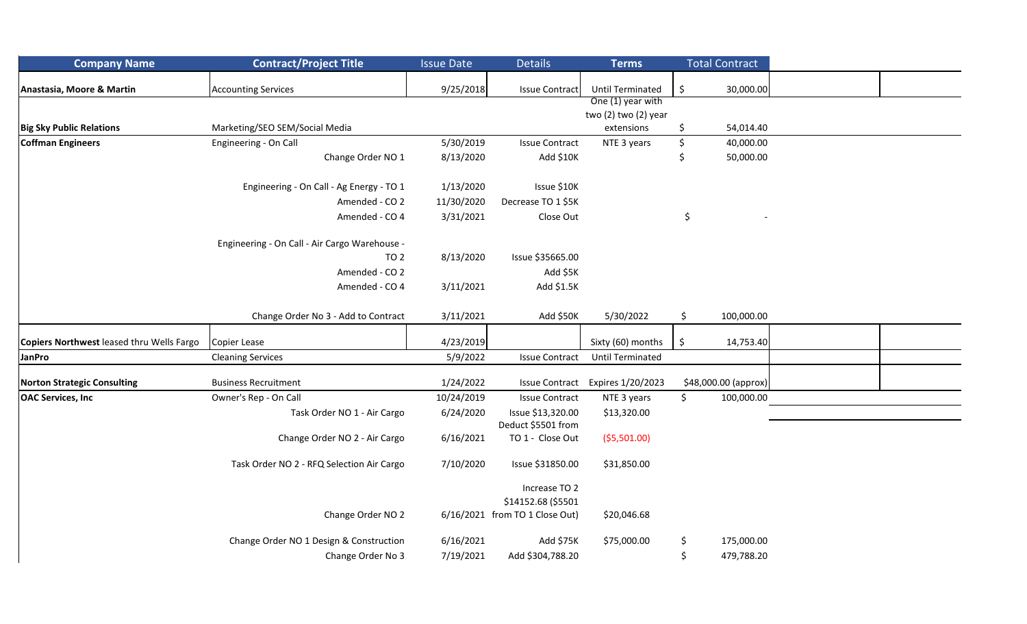| <b>Company Name</b>                       | <b>Contract/Project Title</b>                 | <b>Issue Date</b> | <b>Details</b>                          | <b>Terms</b>            |    | <b>Total Contract</b> |  |
|-------------------------------------------|-----------------------------------------------|-------------------|-----------------------------------------|-------------------------|----|-----------------------|--|
| Anastasia, Moore & Martin                 | <b>Accounting Services</b>                    | 9/25/2018         | <b>Issue Contract</b>                   | <b>Until Terminated</b> | \$ | 30,000.00             |  |
|                                           |                                               |                   |                                         | One (1) year with       |    |                       |  |
|                                           |                                               |                   |                                         | two (2) two (2) year    |    |                       |  |
| <b>Big Sky Public Relations</b>           | Marketing/SEO SEM/Social Media                |                   |                                         | extensions              | \$ | 54,014.40             |  |
| Coffman Engineers                         | Engineering - On Call                         | 5/30/2019         | <b>Issue Contract</b>                   | NTE 3 years             | \$ | 40,000.00             |  |
|                                           | Change Order NO 1                             | 8/13/2020         | Add \$10K                               |                         | S  | 50,000.00             |  |
|                                           | Engineering - On Call - Ag Energy - TO 1      | 1/13/2020         | Issue \$10K                             |                         |    |                       |  |
|                                           | Amended - CO 2                                | 11/30/2020        | Decrease TO 1 \$5K                      |                         |    |                       |  |
|                                           | Amended - CO 4                                | 3/31/2021         | Close Out                               |                         | \$ |                       |  |
|                                           | Engineering - On Call - Air Cargo Warehouse - |                   |                                         |                         |    |                       |  |
|                                           | TO <sub>2</sub>                               | 8/13/2020         | Issue \$35665.00                        |                         |    |                       |  |
|                                           | Amended - CO 2                                |                   | Add \$5K                                |                         |    |                       |  |
|                                           | Amended - CO 4                                | 3/11/2021         | Add \$1.5K                              |                         |    |                       |  |
|                                           | Change Order No 3 - Add to Contract           | 3/11/2021         | Add \$50K                               | 5/30/2022               | Ś. | 100,000.00            |  |
| Copiers Northwest leased thru Wells Fargo | Copier Lease                                  | 4/23/2019         |                                         | Sixty (60) months       | \$ | 14,753.40             |  |
| <b>JanPro</b>                             | <b>Cleaning Services</b>                      | 5/9/2022          | <b>Issue Contract</b>                   | <b>Until Terminated</b> |    |                       |  |
| <b>Norton Strategic Consulting</b>        | <b>Business Recruitment</b>                   | 1/24/2022         | <b>Issue Contract</b>                   | Expires 1/20/2023       |    | \$48,000.00 (approx)  |  |
| <b>OAC Services, Inc.</b>                 | Owner's Rep - On Call                         | 10/24/2019        | <b>Issue Contract</b>                   | NTE 3 years             | \$ | 100,000.00            |  |
|                                           | Task Order NO 1 - Air Cargo                   | 6/24/2020         | Issue \$13,320.00<br>Deduct \$5501 from | \$13,320.00             |    |                       |  |
|                                           | Change Order NO 2 - Air Cargo                 | 6/16/2021         | TO 1 - Close Out                        | ( \$5,501.00)           |    |                       |  |
|                                           | Task Order NO 2 - RFQ Selection Air Cargo     | 7/10/2020         | Issue \$31850.00                        | \$31,850.00             |    |                       |  |
|                                           |                                               |                   | Increase TO 2<br>\$14152.68 (\$5501     |                         |    |                       |  |
|                                           | Change Order NO 2                             |                   | 6/16/2021 from TO 1 Close Out)          | \$20,046.68             |    |                       |  |
|                                           | Change Order NO 1 Design & Construction       | 6/16/2021         | Add \$75K                               | \$75,000.00             | \$ | 175,000.00            |  |
|                                           | Change Order No 3                             | 7/19/2021         | Add \$304,788.20                        |                         | \$ | 479,788.20            |  |